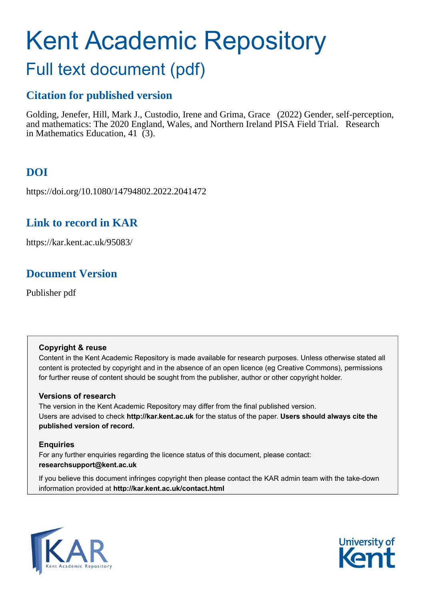# Kent Academic Repository

## Full text document (pdf)

## **Citation for published version**

Golding, Jenefer, Hill, Mark J., Custodio, Irene and Grima, Grace (2022) Gender, self-perception, and mathematics: The 2020 England, Wales, and Northern Ireland PISA Field Trial. Research in Mathematics Education, 41 (3).

## **DOI**

https://doi.org/10.1080/14794802.2022.2041472

## **Link to record in KAR**

https://kar.kent.ac.uk/95083/

## **Document Version**

Publisher pdf

#### **Copyright & reuse**

Content in the Kent Academic Repository is made available for research purposes. Unless otherwise stated all content is protected by copyright and in the absence of an open licence (eg Creative Commons), permissions for further reuse of content should be sought from the publisher, author or other copyright holder.

#### **Versions of research**

The version in the Kent Academic Repository may differ from the final published version. Users are advised to check **http://kar.kent.ac.uk** for the status of the paper. **Users should always cite the published version of record.**

#### **Enquiries**

For any further enquiries regarding the licence status of this document, please contact: **researchsupport@kent.ac.uk**

If you believe this document infringes copyright then please contact the KAR admin team with the take-down information provided at **http://kar.kent.ac.uk/contact.html**



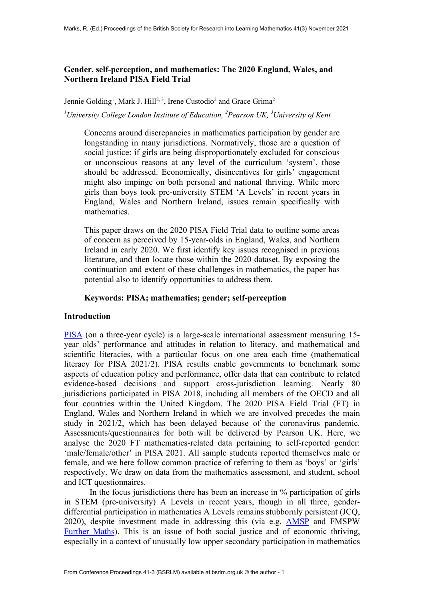#### **Gender, self-perception, and mathematics: The 2020 England, Wales, and Northern Ireland PISA Field Trial**

Jennie Golding<sup>1</sup>, Mark J. Hill<sup>2, 3</sup>, Irene Custodio<sup>2</sup> and Grace Grima<sup>2</sup> <sup>1</sup>University College London Institute of Education, <sup>2</sup> Pearson UK, <sup>3</sup> University of Kent

Concerns around discrepancies in mathematics participation by gender are longstanding in many jurisdictions. Normatively, those are a question of social justice: if girls are being disproportionately excluded for conscious or unconscious reasons at any level of the curriculum 'system', those should be addressed. Economically, disincentives for girls' engagement might also impinge on both personal and national thriving. While more girls than boys took pre-university STEM 'A Levels' in recent years in England, Wales and Northern Ireland, issues remain specifically with mathematics.

This paper draws on the 2020 PISA Field Trial data to outline some areas of concern as perceived by 15-year-olds in England, Wales, and Northern Ireland in early 2020. We first identify key issues recognised in previous literature, and then locate those within the 2020 dataset. By exposing the continuation and extent of these challenges in mathematics, the paper has potential also to identify opportunities to address them.

#### **Keywords: PISA; mathematics; gender; self-perception**

#### **Introduction**

[PISA](https://www.oecd.org/PISA) (on a three-year cycle) is a large-scale international assessment measuring 15 year olds' performance and attitudes in relation to literacy, and mathematical and scientific literacies, with a particular focus on one area each time (mathematical literacy for PISA 2021/2). PISA results enable governments to benchmark some aspects of education policy and performance, offer data that can contribute to related evidence-based decisions and support cross-jurisdiction learning. Nearly 80 jurisdictions participated in PISA 2018, including all members of the OECD and all four countries within the United Kingdom. The 2020 PISA Field Trial (FT) in England, Wales and Northern Ireland in which we are involved precedes the main study in 2021/2, which has been delayed because of the coronavirus pandemic. Assessments/questionnaires for both will be delivered by Pearson UK. Here, we analyse the 2020 FT mathematics-related data pertaining to self-reported gender: 'male/female/other' in PISA 2021. All sample students reported themselves male or female, and we here follow common practice of referring to them as 'boys' or 'girls' respectively. We draw on data from the mathematics assessment, and student, school and ICT questionnaires.

In the focus jurisdictions there has been an increase in % participation of girls in STEM (pre-university) A Levels in recent years, though in all three, genderdifferential participation in mathematics A Levels remains stubbornly persistent (JCQ, 2020), despite investment made in addressing this (via e.g. [AMSP](https://amsp.org.uk/) and FMSPW [Further Maths\)](http://furthermaths.wales/). This is an issue of both social justice and of economic thriving, especially in a context of unusually low upper secondary participation in mathematics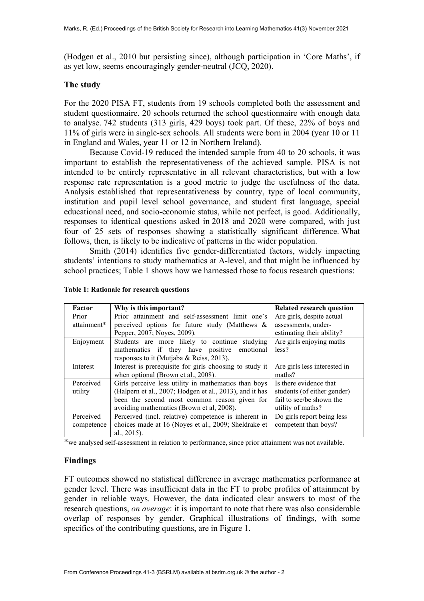(Hodgen et al., 2010 but persisting since), although participation in 'Core Maths', if as yet low, seems encouragingly gender-neutral (JCQ, 2020).

#### **The study**

For the 2020 PISA FT, students from 19 schools completed both the assessment and student questionnaire. 20 schools returned the school questionnaire with enough data to analyse. 742 students (313 girls, 429 boys) took part. Of these, 22% of boys and 11% of girls were in single-sex schools. All students were born in 2004 (year 10 or 11 in England and Wales, year 11 or 12 in Northern Ireland).

Because Covid-19 reduced the intended sample from 40 to 20 schools, it was important to establish the representativeness of the achieved sample. PISA is not intended to be entirely representative in all relevant characteristics, but with a low response rate representation is a good metric to judge the usefulness of the data. Analysis established that representativeness by country, type of local community, institution and pupil level school governance, and student first language, special educational need, and socio-economic status, while not perfect, is good. Additionally, responses to identical questions asked in 2018 and 2020 were compared, with just four of 25 sets of responses showing a statistically significant difference. What follows, then, is likely to be indicative of patterns in the wider population.

Smith (2014) identifies five gender-differentiated factors, widely impacting students' intentions to study mathematics at A-level, and that might be influenced by school practices; Table 1 shows how we harnessed those to focus research questions:

| Factor      | Why is this important?                                  | <b>Related research question</b> |
|-------------|---------------------------------------------------------|----------------------------------|
| Prior       | Prior attainment and self-assessment limit one's        | Are girls, despite actual        |
| attainment* | perceived options for future study (Matthews &          | assessments, under-              |
|             | Pepper, 2007; Noyes, 2009).                             | estimating their ability?        |
| Enjoyment   | Students are more likely to continue studying           | Are girls enjoying maths         |
|             | mathematics if they have positive emotional             | less?                            |
|             | responses to it (Mutjaba & Reiss, 2013).                |                                  |
| Interest    | Interest is prerequisite for girls choosing to study it | Are girls less interested in     |
|             | when optional (Brown et al., 2008).                     | maths?                           |
| Perceived   | Girls perceive less utility in mathematics than boys    | Is there evidence that           |
| utility     | (Halpern et al., 2007; Hodgen et al., 2013), and it has | students (of either gender)      |
|             | been the second most common reason given for            | fail to see/be shown the         |
|             | avoiding mathematics (Brown et al, 2008).               | utility of maths?                |
| Perceived   | Perceived (incl. relative) competence is inherent in    | Do girls report being less       |
| competence  | choices made at 16 (Noyes et al., 2009; Sheldrake et    | competent than boys?             |
|             | al., $2015$ ).                                          |                                  |

**Table 1: Rationale for research questions**

\*we analysed self-assessment in relation to performance, since prior attainment was not available.

#### **Findings**

FT outcomes showed no statistical difference in average mathematics performance at gender level. There was insufficient data in the FT to probe profiles of attainment by gender in reliable ways. However, the data indicated clear answers to most of the research questions, *on average*: it is important to note that there was also considerable overlap of responses by gender. Graphical illustrations of findings, with some specifics of the contributing questions, are in Figure 1.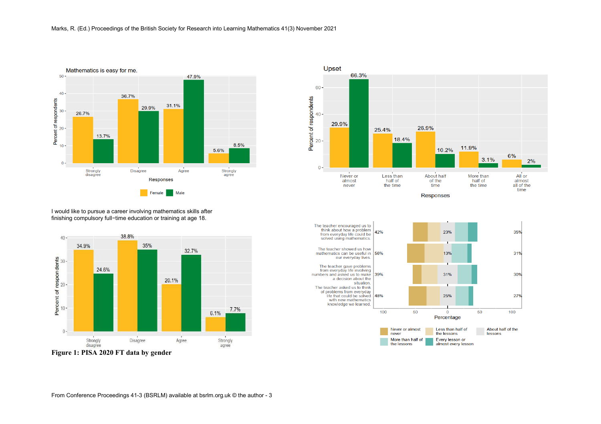

66.3%  $60 -$ Percent of respondents<br>  $\frac{8}{10}$ 29.9% 26.9% 25.4% 18.4% 11.9% 10.2% 6%  $3.1%$  $2%$  $0 -$ About half Less<sup>than</sup> Never or More than All or almost half of of the half of almost never the time time the time all of the time

Upset

**Responses** 



I would like to pursue a career involving mathematics skills after finishing compulsory full−time education or training at age 18.

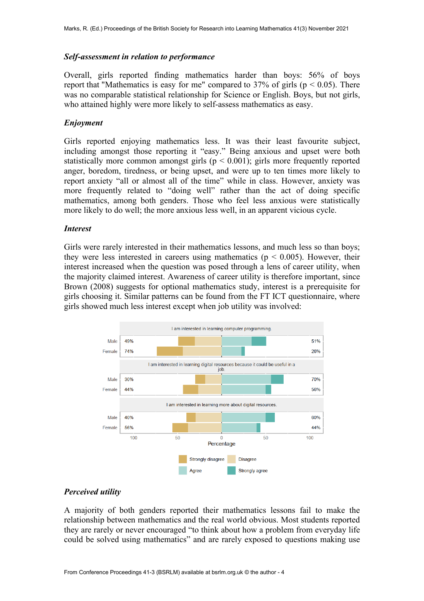#### *Self-assessment in relation to performance*

Overall, girls reported finding mathematics harder than boys: 56% of boys report that "Mathematics is easy for me" compared to 37% of girls ( $p < 0.05$ ). There was no comparable statistical relationship for Science or English. Boys, but not girls, who attained highly were more likely to self-assess mathematics as easy.

#### *Enjoyment*

Girls reported enjoying mathematics less. It was their least favourite subject, including amongst those reporting it "easy." Being anxious and upset were both statistically more common amongst girls ( $p < 0.001$ ); girls more frequently reported anger, boredom, tiredness, or being upset, and were up to ten times more likely to report anxiety "all or almost all of the time" while in class. However, anxiety was more frequently related to "doing well" rather than the act of doing specific mathematics, among both genders. Those who feel less anxious were statistically more likely to do well; the more anxious less well, in an apparent vicious cycle.

#### *Interest*

Girls were rarely interested in their mathematics lessons, and much less so than boys; they were less interested in careers using mathematics ( $p < 0.005$ ). However, their interest increased when the question was posed through a lens of career utility, when the majority claimed interest. Awareness of career utility is therefore important, since Brown (2008) suggests for optional mathematics study, interest is a prerequisite for girls choosing it. Similar patterns can be found from the FT ICT questionnaire, where girls showed much less interest except when job utility was involved:



#### *Perceived utility*

A majority of both genders reported their mathematics lessons fail to make the relationship between mathematics and the real world obvious. Most students reported they are rarely or never encouraged "to think about how a problem from everyday life could be solved using mathematics" and are rarely exposed to questions making use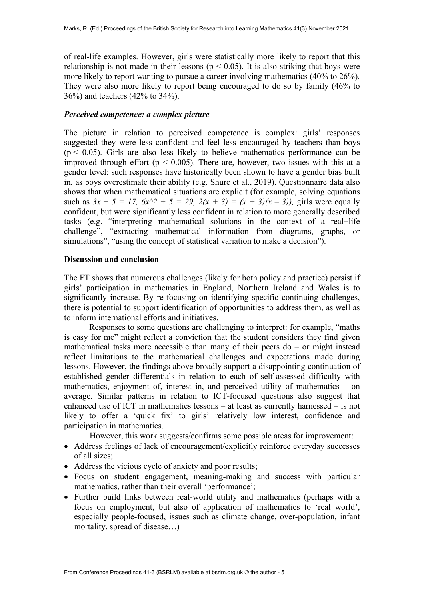of real-life examples. However, girls were statistically more likely to report that this relationship is not made in their lessons ( $p < 0.05$ ). It is also striking that boys were more likely to report wanting to pursue a career involving mathematics (40% to 26%). They were also more likely to report being encouraged to do so by family (46% to 36%) and teachers (42% to 34%).

#### *Perceived competence: a complex picture*

The picture in relation to perceived competence is complex: girls' responses suggested they were less confident and feel less encouraged by teachers than boys  $(p < 0.05)$ . Girls are also less likely to believe mathematics performance can be improved through effort ( $p < 0.005$ ). There are, however, two issues with this at a gender level: such responses have historically been shown to have a gender bias built in, as boys overestimate their ability (e.g. Shure et al., 2019). Questionnaire data also shows that when mathematical situations are explicit (for example, solving equations such as  $3x + 5 = 17$ ,  $6x^2 + 5 = 29$ ,  $2(x + 3) = (x + 3)(x - 3)$ , girls were equally confident, but were significantly less confident in relation to more generally described tasks (e.g. "interpreting mathematical solutions in the context of a real−life challenge", "extracting mathematical information from diagrams, graphs, or simulations", "using the concept of statistical variation to make a decision").

#### **Discussion and conclusion**

The FT shows that numerous challenges (likely for both policy and practice) persist if girls' participation in mathematics in England, Northern Ireland and Wales is to significantly increase. By re-focusing on identifying specific continuing challenges, there is potential to support identification of opportunities to address them, as well as to inform international efforts and initiatives.

Responses to some questions are challenging to interpret: for example, "maths is easy for me" might reflect a conviction that the student considers they find given mathematical tasks more accessible than many of their peers do – or might instead reflect limitations to the mathematical challenges and expectations made during lessons. However, the findings above broadly support a disappointing continuation of established gender differentials in relation to each of self-assessed difficulty with mathematics, enjoyment of, interest in, and perceived utility of mathematics – on average. Similar patterns in relation to ICT-focused questions also suggest that enhanced use of ICT in mathematics lessons – at least as currently harnessed – is not likely to offer a 'quick fix' to girls' relatively low interest, confidence and participation in mathematics.

However, this work suggests/confirms some possible areas for improvement:

- Address feelings of lack of encouragement/explicitly reinforce everyday successes of all sizes;
- Address the vicious cycle of anxiety and poor results;
- Focus on student engagement, meaning-making and success with particular mathematics, rather than their overall 'performance';
- Further build links between real-world utility and mathematics (perhaps with a focus on employment, but also of application of mathematics to 'real world', especially people-focused, issues such as climate change, over-population, infant mortality, spread of disease…)